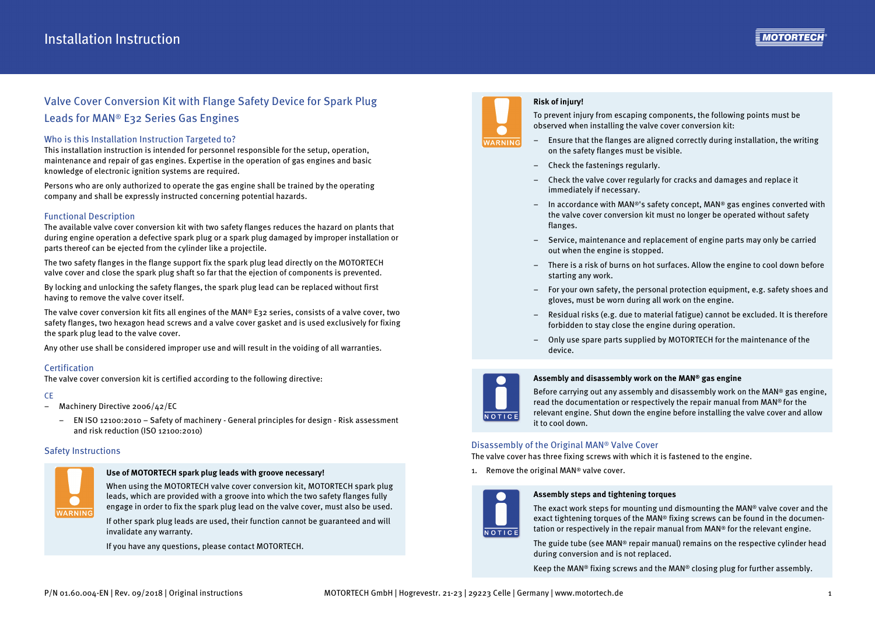# Valve Cover Conversion Kit with Flange Safety Device for Spark Plug Leads for MAN ® E32 Series Gas Engines

### Who is this Installation Instruction Targeted to?

This installation instruction is intended for personnel responsible for the setup, operation, maintenance and repair of gas engines. Expertise in the operation of gas engines and basic knowledge of electronic ignition systems are required.

Persons who are only authorized to operate the gas engine shall be trained by the operating company and shall be expressly instructed concerning potential hazards.

# Functional Description

The available valve cover conversion kit with two safety flanges reduces the hazard on plants that during engine operation a defective spark plug or a spark plug damaged by improper installation or parts thereof can be ejected from the cylinder like a projectile.

The two safety flanges in the flange support fix the spark plug lead directly on the MOTORTECH valve cover and close the spark plug shaft so far that the ejection of components is prevented.

By locking and unlocking the safety flanges, the spark plug lead can be replaced without first having to remove the valve cover itself.

The valve cover conversion kit fits all engines of the MAN® E32 series, consists of a valve cover, two safety flanges, two hexagon head screws and a valve cover gasket and is used exclusively for fixing the spark plug lead to the valve cover.

Any other use shall be considered improper use and will result in the voiding of all warranties.

# **Certification**

The valve cover conversion kit is certified according to the following directive:

#### CE

- Machinery Directive 2006/42/EC
	- EN ISO 12100:2010 Safety of machinery General principles for design Risk assessment and risk reduction (ISO 12100:2010)

#### Safety Instructions



#### **Use of MOTORTECH spark plug leads with groove necessary!**

When using the MOTORTECH valve cover conversion kit, MOTORTECH spark plug leads, which are provided with a groove into which the two safety flanges fully engage in order to fix the spark plug lead on the valve cover, must also be used.

If other spark plug leads are used, their function cannot be guaranteed and will invalidate any warranty.

If you have any questions, please contact MOTORTECH.



### **Risk of injury!**

To prevent injury from escaping components, the following points must be observed when installing the valve cover conversion kit:

- Ensure that the flanges are aligned correctly during installation, the writing on the safety flanges must be visible.
- Check the fastenings regularly.
- – Check the valve cover regularly for cracks and damages and replace it immediately if necessary.
- $-$  In accordance with MAN®'s safety concept, MAN® gas engines converted with the valve cover conversion kit must no longer be operated without safety flanges.
- – Service, maintenance and replacement of engine parts may only be carried out when the engine is stopped.
- There is a risk of burns on hot surfaces. Allow the engine to cool down before starting any work.
- – For your own safety, the personal protection equipment, e.g. safety shoes and gloves, must be worn during all work on the engine.
- Residual risks (e.g. due to material fatigue) cannot be excluded. It is therefore forbidden to stay close the engine during operation.
- – Only use spare parts supplied by MOTORTECH for the maintenance of the device.



#### **Assembly and disassembly work on the MAN® gas engine**

Before carrying out any assembly and disassembly work on the MAN® gas engine, read the documentation or respectively the repair manual from MAN® for the relevant engine. Shut down the engine before installing the valve cover and allow it to cool down.

# Disassembly of the Original MAN® Valve Cover

The valve cover has three fixing screws with which it is fastened to the engine.

1. Remove the original MAN® valve cover.



#### **Assembly steps and tightening torques**

The exact work steps for mounting und dismounting the MAN® valve cover and the exact tightening torques of the MAN® fixing screws can be found in the documentation or respectively in the repair manual from MAN® for the relevant engine.

The guide tube (see MAN® repair manual) remains on the respective cylinder head during conversion and is not replaced.

Keep the MAN® fixing screws and the MAN® closing plug for further assembly.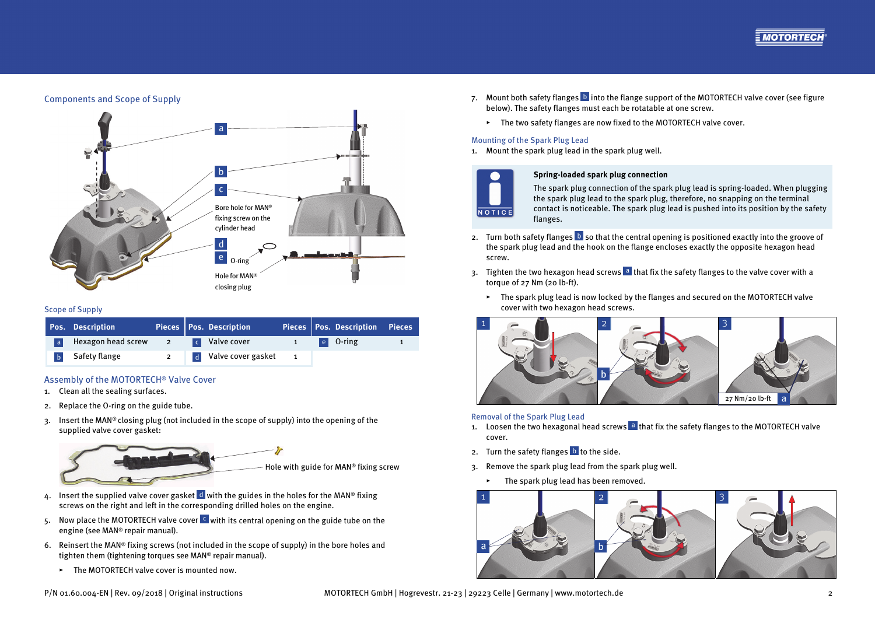

# Components and Scope of Supply



#### Scope of Supply

|   | Pos. Description       |                | Pieces   Pos. Description |          | Pieces Pos. Description Pieces                              |  |
|---|------------------------|----------------|---------------------------|----------|-------------------------------------------------------------|--|
| a | Hexagon head screw 2   |                | <b>C</b> Valve cover      | $\sim$ 1 | $\left  \begin{array}{c} e \\ e \end{array} \right $ O-ring |  |
|   | <b>b</b> Safety flange | $\overline{2}$ | d Valve cover gasket      |          |                                                             |  |

# Assembly of the MOTORTECH® Valve Cover

- 1. Clean all the sealing surfaces.
- 2. Replace the O-ring on the guide tube.
- 3. Insert the MAN® closing plug (not included in the scope of supply) into the opening of the supplied valve cover gasket:

Hole with guide for MAN® fixing screw

- 4. Insert the supplied valve cover gasket  $\frac{d}{d}$  with the guides in the holes for the MAN® fixing screws on the right and left in the corresponding drilled holes on the engine.
- 5. Now place the MOTORTECH valve cover  $\epsilon$  with its central opening on the guide tube on the engine (see MAN® repair manual).
- 6. Reinsert the MAN® fixing screws (not included in the scope of supply) in the bore holes and tighten them (tightening torques see MAN® repair manual).
	- ▸ The MOTORTECH valve cover is mounted now.
- 7. Mount both safety flanges **b** into the flange support of the MOTORTECH valve cover (see figure below). The safety flanges must each be rotatable at one screw.
	- ▸ The two safety flanges are now fixed to the MOTORTECH valve cover.

#### Mounting of the Spark Plug Lead

1. Mount the spark plug lead in the spark plug well.



#### **Spring-loaded spark plug connection**

The spark plug connection of the spark plug lead is spring-loaded. When plugging the spark plug lead to the spark plug, therefore, no snapping on the terminal contact is noticeable. The spark plug lead is pushed into its position by the safety flanges.

- 2. Turn both safety flanges  $\mathbf D$  so that the central opening is positioned exactly into the groove of the spark plug lead and the hook on the flange encloses exactly the opposite hexagon head screw.
- 3. Tighten the two hexagon head screws a that fix the safety flanges to the valve cover with a torque of 27 Nm (20 lb-ft).
	- ▸ The spark plug lead is now locked by the flanges and secured on the MOTORTECH valve cover with two hexagon head screws.



#### Removal of the Spark Plug Lead

- 1. Loosen the two hexagonal head screws **a** that fix the safety flanges to the MOTORTECH valve cover.
- 2. Turn the safety flanges **b** to the side.
- 3. Remove the spark plug lead from the spark plug well.
	- ▸ The spark plug lead has been removed.